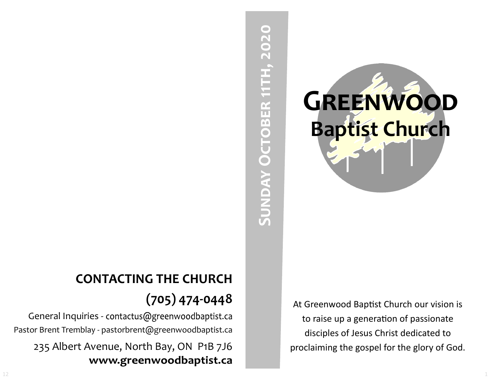# **Sunday October 11th, 2020** SUNDAY OCTOBER 11TH, 2020

**Greenwood Baptist Church**

At Greenwood Baptist Church our vision is to raise up a generation of passionate disciples of Jesus Christ dedicated to proclaiming the gospel for the glory of God.

# **CONTACTING THE CHURCH (705) 474-0448**

General Inquiries - contactus@greenwoodbaptist.ca Pastor Brent Tremblay - pastorbrent@greenwoodbaptist.ca 235 Albert Avenue, North Bay, ON P1B 7J6 www.greenwoodbaptist.ca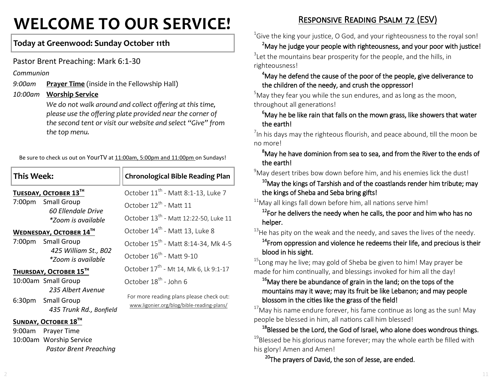# **WELCOME TO OUR SERVICE!**

#### **Today at Greenwood: Sunday October 11th**

Pastor Brent Preaching: Mark 6:1-30

*Pastor Brent Preaching*

*Communion*

*9:00am* **Prayer Time** (inside in the Fellowship Hall)

*10:00am* **Worship Service**

*We do not walk around and collect offering at this time, please use the offering plate provided near the corner of the second tent or visit our website and select "Give" from the top menu.*

Be sure to check us out on YourTV at 11:00am, 5:00pm and 11:00pm on Sundays!

| <b>This Week:</b>       |                                                                    | <b>Chronological Bible Reading Plan</b>                                                |
|-------------------------|--------------------------------------------------------------------|----------------------------------------------------------------------------------------|
|                         | TUESDAY, OCTOBER 13TH                                              | October 11 <sup>th</sup> - Matt 8:1-13, Luke 7                                         |
| 7:00pm                  | Small Group<br>60 Ellendale Drive<br>*Zoom is available            | October 12 <sup>th</sup> - Matt 11                                                     |
|                         |                                                                    | October 13 <sup>th</sup> - Matt 12:22-50, Luke 11                                      |
| WEDNESDAY, OCTOBER 14TH |                                                                    | October 14 <sup>th</sup> - Matt 13, Luke 8                                             |
|                         | 7:00pm Small Group<br>425 William St., B02<br>*Zoom is available   | October 15 <sup>th</sup> - Matt 8:14-34, Mk 4-5                                        |
|                         |                                                                    | October $16^{th}$ - Matt 9-10                                                          |
|                         | THURSDAY, OCTOBER 15 <sup>TH</sup>                                 | October 17 <sup>th</sup> - Mt 14, Mk 6, Lk 9:1-17                                      |
|                         | 10:00am Small Group                                                | October 18 <sup>th</sup> - John 6                                                      |
|                         | 235 Albert Avenue<br>6:30pm Small Group<br>435 Trunk Rd., Bonfield | For more reading plans please check out:<br>www.ligonier.org/blog/bible-reading-plans/ |
| SUNDAY, OCTOBER 18TH    |                                                                    |                                                                                        |
| 9:00am                  | Prayer Time                                                        |                                                                                        |
|                         | 10:00am Worship Service                                            |                                                                                        |

Responsive Reading Psalm 72 (ESV)

 $16$  Give the king your justice, O God, and your righteousness to the royal son!

 $2^2$ May he judge your people with righteousness, and your poor with justice!  $3$ Let the mountains bear prosperity for the people, and the hills, in righteousness!

#### <sup>4</sup>May he defend the cause of the poor of the people, give deliverance to the children of the needy, and crush the oppressor!

 $5$ May they fear you while the sun endures, and as long as the moon, throughout all generations!

#### $6$ May he be like rain that falls on the mown grass, like showers that water the earth!

 $\frac{7}{1}$ In his days may the righteous flourish, and peace abound, till the moon be no more!

#### <sup>8</sup>May he have dominion from sea to sea, and from the River to the ends of the earth!

 $9^9$ May desert tribes bow down before him, and his enemies lick the dust!

 $10$ May the kings of Tarshish and of the coastlands render him tribute; may the kings of Sheba and Seba bring gifts!

#### $11$ May all kings fall down before him, all nations serve him!

 $12$ For he delivers the needy when he calls, the poor and him who has no helper.

 $13$ He has pity on the weak and the needy, and saves the lives of the needy.

 $14$ From oppression and violence he redeems their life, and precious is their blood in his sight.

 $15$ Long may he live; may gold of Sheba be given to him! May prayer be made for him continually, and blessings invoked for him all the day!

#### $16$ May there be abundance of grain in the land; on the tops of the mountains may it wave; may its fruit be like Lebanon; and may people blossom in the cities like the grass of the field!

 $17$ Mav his name endure forever, his fame continue as long as the sun! May people be blessed in him, all nations call him blessed!

<sup>18</sup>Blessed be the Lord, the God of Israel, who alone does wondrous things.  $19$ Blessed be his glorious name forever; may the whole earth be filled with his glory! Amen and Amen!

<sup>20</sup>The prayers of David, the son of Jesse, are ended.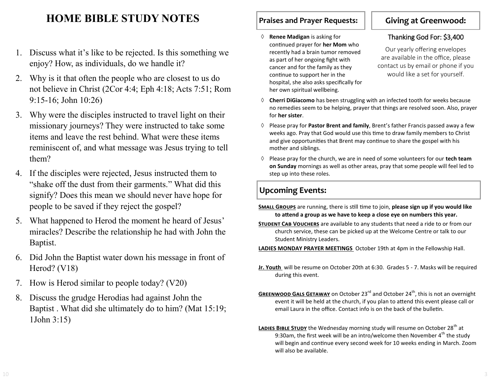# **HOME BIBLE STUDY NOTES**

- 1. Discuss what it's like to be rejected. Is this something we enjoy? How, as individuals, do we handle it?
- 2. Why is it that often the people who are closest to us do not believe in Christ (2Cor 4:4; Eph 4:18; Acts 7:51; Rom 9:15-16; John 10:26)
- 3. Why were the disciples instructed to travel light on their missionary journeys? They were instructed to take some items and leave the rest behind. What were these items reminiscent of, and what message was Jesus trying to tell them?
- 4. If the disciples were rejected, Jesus instructed them to "shake off the dust from their garments." What did this signify? Does this mean we should never have hope for people to be saved if they reject the gospel?
- 5. What happened to Herod the moment he heard of Jesus' miracles? Describe the relationship he had with John the Baptist.
- 6. Did John the Baptist water down his message in front of Herod? (V18)
- 7. How is Herod similar to people today? (V20)
- 8. Discuss the grudge Herodias had against John the Baptist . What did she ultimately do to him? (Mat 15:19; 1John 3:15)

#### **Praises and Prayer Requests:**

 **Renee Madigan** is asking for continued prayer for **her Mom** who recently had a brain tumor removed as part of her ongoing fight with cancer and for the family as they continue to support her in the hospital, she also asks specifically for her own spiritual wellbeing.

#### **Giving at Greenwood:**

#### Thanking God For: \$3,400

Our yearly offering envelopes are available in the office, please contact us by email or phone if you would like a set for yourself.

- **Cherri DiGiacomo** has been struggling with an infected tooth for weeks because no remedies seem to be helping, prayer that things are resolved soon. Also, prayer for **her sister**.
- Please pray for **Pastor Brent and family**, Brent's father Francis passed away a few weeks ago. Pray that God would use this time to draw family members to Christ and give opportunities that Brent may continue to share the gospel with his mother and siblings.
- $\Diamond$  Please pray for the church, we are in need of some volunteers for our **tech team on Sunday** mornings as well as other areas, pray that some people will feel led to step up into these roles.

### **Upcoming Events:**

- **Small Groups** are running, there is still time to join, **please sign up if you would like to attend a group as we have to keep a close eye on numbers this year.**
- **Student Cab Vouchers** are available to any students that need a ride to or from our church service, these can be picked up at the Welcome Centre or talk to our Student Ministry Leaders.

**LADIES MONDAY PRAYER MEETINGS** October 19th at 4pm in the Fellowship Hall.

- **Jr. Youth** will be resume on October 20th at 6:30. Grades 5 7. Masks will be required during this event.
- **GREENWOOD GALS GETAWAY** on October 23<sup>rd</sup> and October 24<sup>th</sup>, this is not an overnight event it will be held at the church, if you plan to attend this event please call or email Laura in the office. Contact info is on the back of the bulletin.
- LADIES BIBLE STUDY the Wednesday morning study will resume on October 28<sup>th</sup> at 9:30am, the first week will be an intro/welcome then November  $4<sup>th</sup>$  the study will begin and continue every second week for 10 weeks ending in March. Zoom will also be available.